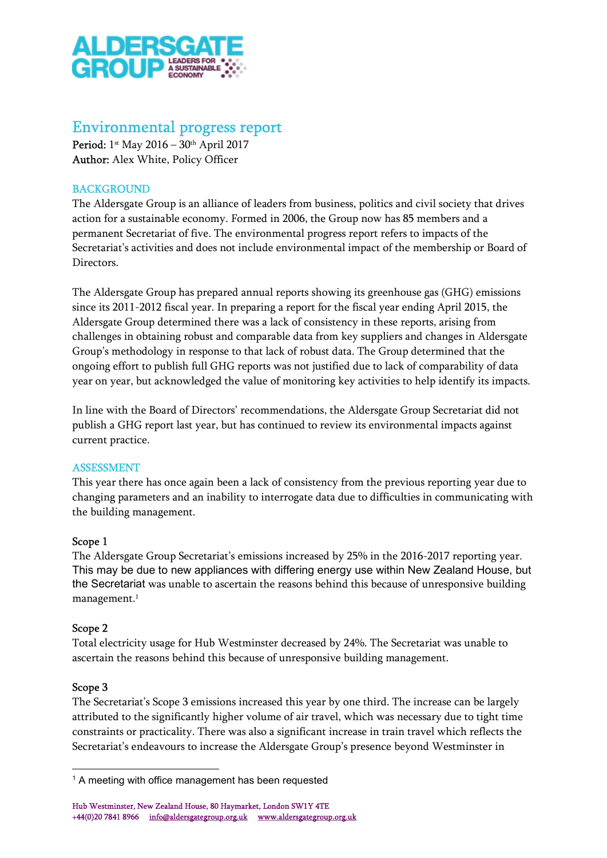

# Environmental progress report

Period: 1st May 2016 – 30th April 2017 Author: Alex White, Policy Officer

## **BACKGROUND**

The Aldersgate Group is an alliance of leaders from business, politics and civil society that drives action for a sustainable economy. Formed in 2006, the Group now has 85 members and a permanent Secretariat of five. The environmental progress report refers to impacts of the Secretariat's activities and does not include environmental impact of the membership or Board of Directors.

The Aldersgate Group has prepared annual reports showing its greenhouse gas (GHG) emissions since its 2011-2012 fiscal year. In preparing a report for the fiscal year ending April 2015, the Aldersgate Group determined there was a lack of consistency in these reports, arising from challenges in obtaining robust and comparable data from key suppliers and changes in Aldersgate Group's methodology in response to that lack of robust data. The Group determined that the ongoing effort to publish full GHG reports was not justified due to lack of comparability of data year on year, but acknowledged the value of monitoring key activities to help identify its impacts.

In line with the Board of Directors' recommendations, the Aldersgate Group Secretariat did not publish a GHG report last year, but has continued to review its environmental impacts against current practice.

#### ASSESSMENT

This year there has once again been a lack of consistency from the previous reporting year due to changing parameters and an inability to interrogate data due to difficulties in communicating with the building management.

#### Scope 1

The Aldersgate Group Secretariat's emissions increased by 25% in the 2016-2017 reporting year. This may be due to new appliances with differing energy use within New Zealand House, but the Secretariat was unable to ascertain the reasons behind this because of unresponsive building management.<sup>1</sup>

#### Scope 2

Total electricity usage for Hub Westminster decreased by 24%. The Secretariat was unable to ascertain the reasons behind this because of unresponsive building management.

#### Scope 3

The Secretariat's Scope 3 emissions increased this year by one third. The increase can be largely attributed to the significantly higher volume of air travel, which was necessary due to tight time constraints or practicality. There was also a significant increase in train travel which reflects the Secretariat's endeavours to increase the Aldersgate Group's presence beyond Westminster in

Hub Westminster, New Zealand House, 80 Haymarket, London SW1Y 4TE +44(0)20 7841 8966 info@aldersgategroup.org.uk www.aldersgategroup.org.uk

<sup>&</sup>lt;sup>1</sup> A meeting with office management has been requested